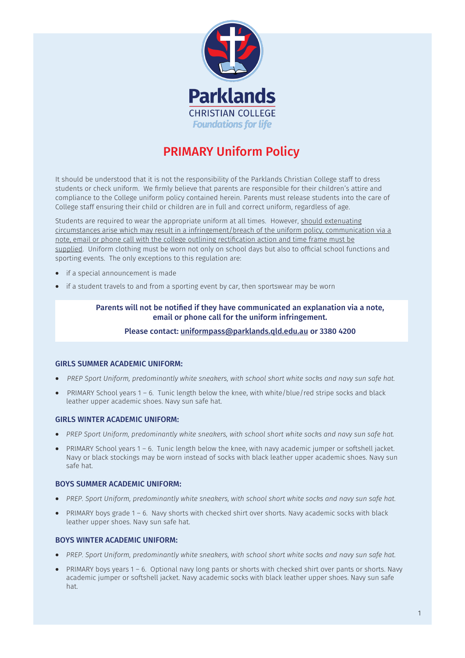

# PRIMARY Uniform Policy

It should be understood that it is not the responsibility of the Parklands Christian College staff to dress students or check uniform. We firmly believe that parents are responsible for their children's attire and compliance to the College uniform policy contained herein. Parents must release students into the care of College staff ensuring their child or children are in full and correct uniform, regardless of age.

Students are required to wear the appropriate uniform at all times. However, should extenuating circumstances arise which may result in a infringement/breach of the uniform policy, communication via a note, email or phone call with the college outlining rectification action and time frame must be supplied. Uniform clothing must be worn not only on school days but also to official school functions and sporting events. The only exceptions to this regulation are:

- if a special announcement is made
- if a student travels to and from a sporting event by car, then sportswear may be worn

## Parents will not be notified if they have communicated an explanation via a note, email or phone call for the uniform infringement.

#### Please contact: [uniformpass@parklands.qld.edu.au](mailto:uniformpass@parklands.qld.edu.au) or 3380 4200

#### GIRLS SUMMER ACADEMIC UNIFORM:

- *PREP Sport Uniform, predominantly white sneakers, with school short white socks and navy sun safe hat.*
- PRIMARY School years 1 6. Tunic length below the knee, with white/blue/red stripe socks and black leather upper academic shoes. Navy sun safe hat.

#### GIRLS WINTER ACADEMIC UNIFORM:

- *PREP Sport Uniform, predominantly white sneakers, with school short white socks and navy sun safe hat.*
- PRIMARY School years 1 6. Tunic length below the knee, with navy academic jumper or softshell jacket. Navy or black stockings may be worn instead of socks with black leather upper academic shoes. Navy sun safe hat.

#### BOYS SUMMER ACADEMIC UNIFORM:

- *PREP. Sport Uniform, predominantly white sneakers, with school short white socks and navy sun safe hat.*
- PRIMARY boys grade 1 6. Navy shorts with checked shirt over shorts. Navy academic socks with black leather upper shoes. Navy sun safe hat.

#### BOYS WINTER ACADEMIC UNIFORM:

- *PREP. Sport Uniform, predominantly white sneakers, with school short white socks and navy sun safe hat.*
- PRIMARY boys years 1 6. Optional navy long pants or shorts with checked shirt over pants or shorts. Navy academic jumper or softshell jacket. Navy academic socks with black leather upper shoes. Navy sun safe hat.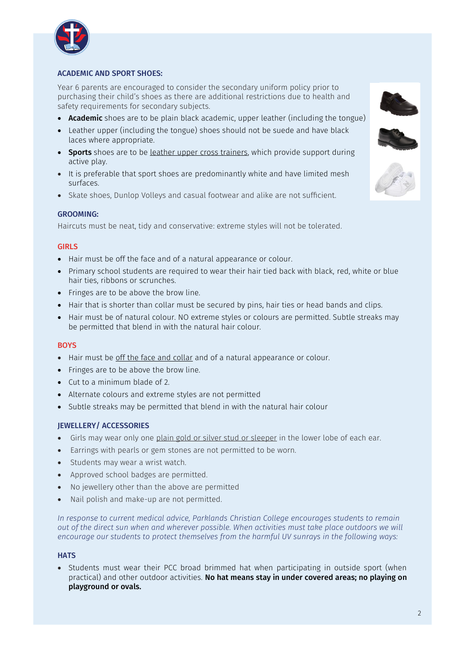

# ACADEMIC AND SPORT SHOES:

Year 6 parents are encouraged to consider the secondary uniform policy prior to purchasing their child's shoes as there are additional restrictions due to health and safety requirements for secondary subjects.

- Academic shoes are to be plain black academic, upper leather (including the tongue)
- Leather upper (including the tongue) shoes should not be suede and have black laces where appropriate.
- Sports shoes are to be leather upper cross trainers, which provide support during active play.
- It is preferable that sport shoes are predominantly white and have limited mesh surfaces.
- Skate shoes, Dunlop Volleys and casual footwear and alike are not sufficient.

## GROOMING:

Haircuts must be neat, tidy and conservative: extreme styles will not be tolerated.

## GIRLS

- Hair must be off the face and of a natural appearance or colour.
- Primary school students are required to wear their hair tied back with black, red, white or blue hair ties, ribbons or scrunches.
- Fringes are to be above the brow line.
- Hair that is shorter than collar must be secured by pins, hair ties or head bands and clips.
- Hair must be of natural colour. NO extreme styles or colours are permitted. Subtle streaks may be permitted that blend in with the natural hair colour.

#### **BOYS**

- Hair must be off the face and collar and of a natural appearance or colour.
- Fringes are to be above the brow line.
- Cut to a minimum blade of 2.
- Alternate colours and extreme styles are not permitted
- Subtle streaks may be permitted that blend in with the natural hair colour

## JEWELLERY/ ACCESSORIES

- Girls may wear only one plain gold or silver stud or sleeper in the lower lobe of each ear.
- Earrings with pearls or gem stones are not permitted to be worn.
- Students may wear a wrist watch.
- Approved school badges are permitted.
- No jewellery other than the above are permitted
- Nail polish and make-up are not permitted.

*In response to current medical advice, Parklands Christian College encourages students to remain out of the direct sun when and wherever possible. When activities must take place outdoors we will encourage our students to protect themselves from the harmful UV sunrays in the following ways:*

#### **HATS**

• Students must wear their PCC broad brimmed hat when participating in outside sport (when practical) and other outdoor activities. No hat means stay in under covered areas; no playing on playground or ovals.